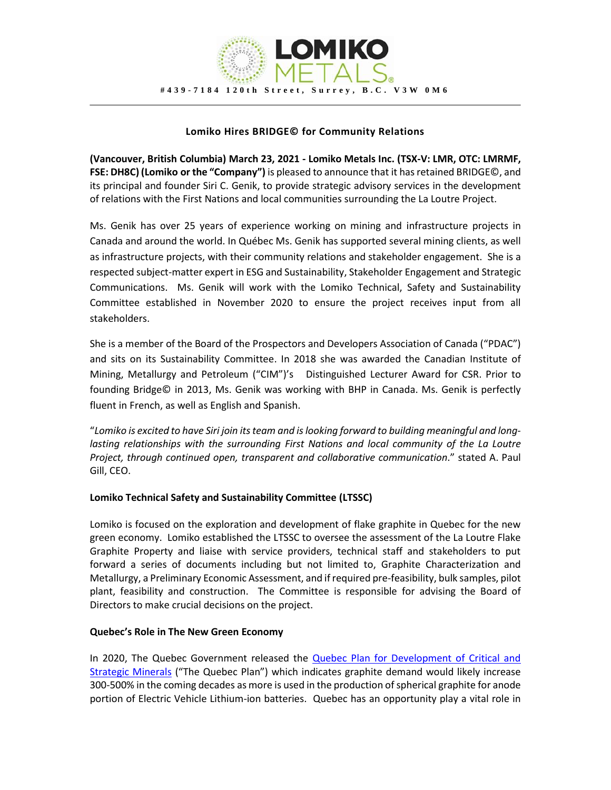

## **Lomiko Hires BRIDGE© for Community Relations**

**(Vancouver, British Columbia) March 23, 2021 - Lomiko Metals Inc. (TSX-V: LMR, OTC: LMRMF, FSE: DH8C) (Lomiko or the "Company")** is pleased to announce that it has retained BRIDGE©, and its principal and founder Siri C. Genik, to provide strategic advisory services in the development of relations with the First Nations and local communities surrounding the La Loutre Project.

Ms. Genik has over 25 years of experience working on mining and infrastructure projects in Canada and around the world. In Québec Ms. Genik has supported several mining clients, as well as infrastructure projects, with their community relations and stakeholder engagement. She is a respected subject-matter expert in ESG and Sustainability, Stakeholder Engagement and Strategic Communications. Ms. Genik will work with the Lomiko Technical, Safety and Sustainability Committee established in November 2020 to ensure the project receives input from all stakeholders.

She is a member of the Board of the Prospectors and Developers Association of Canada ("PDAC") and sits on its Sustainability Committee. In 2018 she was awarded the Canadian Institute of Mining, Metallurgy and Petroleum ("CIM")'s Distinguished Lecturer Award for CSR. Prior to founding Bridge© in 2013, Ms. Genik was working with BHP in Canada. Ms. Genik is perfectly fluent in French, as well as English and Spanish.

"*Lomiko is excited to have Siri join its team and is looking forward to building meaningful and longlasting relationships with the surrounding First Nations and local community of the La Loutre Project, through continued open, transparent and collaborative communication*." stated A. Paul Gill, CEO.

## **Lomiko Technical Safety and Sustainability Committee (LTSSC)**

Lomiko is focused on the exploration and development of flake graphite in Quebec for the new green economy. Lomiko established the LTSSC to oversee the assessment of the La Loutre Flake Graphite Property and liaise with service providers, technical staff and stakeholders to put forward a series of documents including but not limited to, Graphite Characterization and Metallurgy, a Preliminary Economic Assessment, and if required pre-feasibility, bulk samples, pilot plant, feasibility and construction. The Committee is responsible for advising the Board of Directors to make crucial decisions on the project.

## **Quebec's Role in The New Green Economy**

In 2020, The Quebec Government released the Quebec Plan for Development of Critical and [Strategic Minerals](https://cdn-contenu.quebec.ca/cdn-contenu/ressources-naturelles/Documents/PL_critical_strategic_minerals.pdf?1604003187) ("The Quebec Plan") which indicates graphite demand would likely increase 300-500% in the coming decades as more is used in the production of spherical graphite for anode portion of Electric Vehicle Lithium-ion batteries. Quebec has an opportunity play a vital role in